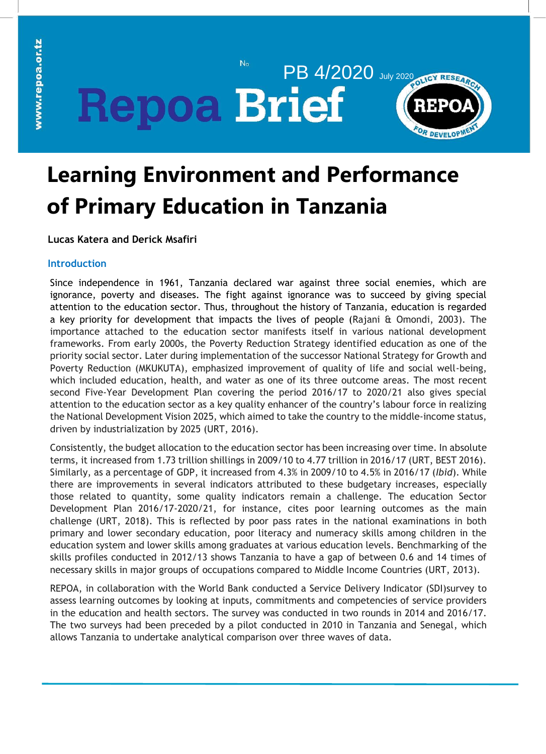PB 4/2020 July 2020 DJGY RESEARC **Repoa Brief** 

 $N_{\Omega}$ 



# **Learning Environment and Performance of Primary Education in Tanzania**

**Lucas Katera and Derick Msafiri**

# **Introduction**

Since independence in 1961, Tanzania declared war against three social enemies, which are ignorance, poverty and diseases. The fight against ignorance was to succeed by giving special attention to the education sector. Thus, throughout the history of Tanzania, education is regarded a key priority for development that impacts the lives of people (Rajani & Omondi, 2003). The importance attached to the education sector manifests itself in various national development frameworks. From early 2000s, the Poverty Reduction Strategy identified education as one of the priority social sector. Later during implementation of the successor National Strategy for Growth and Poverty Reduction (MKUKUTA), emphasized improvement of quality of life and social well-being, which included education, health, and water as one of its three outcome areas. The most recent second Five-Year Development Plan covering the period 2016/17 to 2020/21 also gives special attention to the education sector as a key quality enhancer of the country's labour force in realizing the National Development Vision 2025, which aimed to take the country to the middle-income status, driven by industrialization by 2025 (URT, 2016).

Consistently, the budget allocation to the education sector has been increasing over time. In absolute terms, it increased from 1.73 trillion shillings in 2009/10 to 4.77 trillion in 2016/17 (URT, BEST 2016). Similarly, as a percentage of GDP, it increased from 4.3% in 2009/10 to 4.5% in 2016/17 (*Ibid*). While there are improvements in several indicators attributed to these budgetary increases, especially those related to quantity, some quality indicators remain a challenge. The education Sector Development Plan 2016/17-2020/21, for instance, cites poor learning outcomes as the main challenge (URT, 2018). This is reflected by poor pass rates in the national examinations in both primary and lower secondary education, poor literacy and numeracy skills among children in the education system and lower skills among graduates at various education levels. Benchmarking of the skills profiles conducted in 2012/13 shows Tanzania to have a gap of between 0.6 and 14 times of necessary skills in major groups of occupations compared to Middle Income Countries (URT, 2013).

REPOA, in collaboration with the World Bank conducted a Service Delivery Indicator (SDI)survey to assess learning outcomes by looking at inputs, commitments and competencies of service providers in the education and health sectors. The survey was conducted in two rounds in 2014 and 2016/17. The two surveys had been preceded by a pilot conducted in 2010 in Tanzania and Senegal, which allows Tanzania to undertake analytical comparison over three waves of data.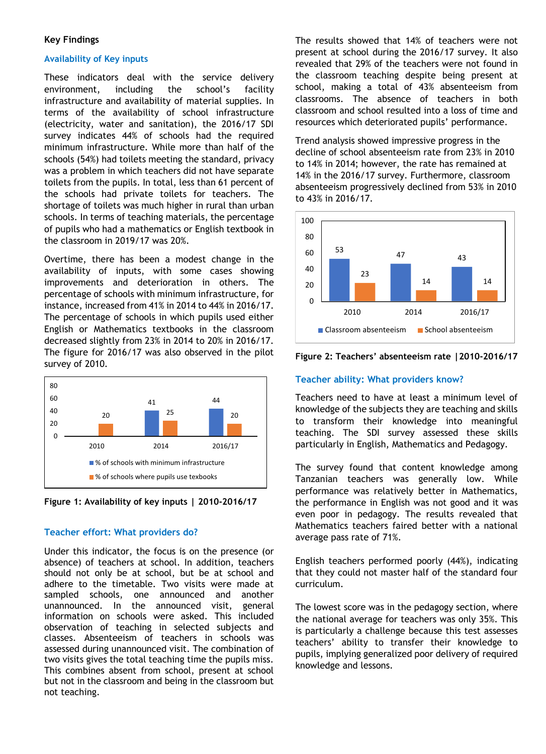## **Key Findings**

## **Availability of Key inputs**

These indicators deal with the service delivery environment, including the school's facility infrastructure and availability of material supplies. In terms of the availability of school infrastructure (electricity, water and sanitation), the 2016/17 SDI survey indicates 44% of schools had the required minimum infrastructure. While more than half of the schools (54%) had toilets meeting the standard, privacy was a problem in which teachers did not have separate toilets from the pupils. In total, less than 61 percent of the schools had private toilets for teachers. The shortage of toilets was much higher in rural than urban schools. In terms of teaching materials, the percentage of pupils who had a mathematics or English textbook in the classroom in 2019/17 was 20%.

availability of inputs, with some cases showing of the provision of the provision of the provision of the provision of the provision of the provision of the p<br>International provision of the provision of the provision of the provision of the provision of the provision o improvements and deterioration in others. The percentage of schools with minimum infrastructure, for instance, increased from 41% in 2014 to 44% in 2016/17. The percentage of schools in which pupils used either English or Mathematics textbooks in the classroom decreased slightly from 23% in 2014 to 20% in 2016/17.  $r_{\rm grav}$  for 2016/17  $\omega$ The figure for 2016/17 was also observed in the pilot survey of 2010. Overtime, there has been a modest change in the





## **Teacher effort: What providers do?**

Under this indicator, the focus is on the presence (or absence) of teachers at school. In addition, teachers should not only be at school, but be at school and adhere to the timetable. Two visits were made at sampled schools, one announced and another unannounced. In the announced visit, general information on schools were asked. This included observation of teaching in selected subjects and classes. Absenteeism of teachers in schools was assessed during unannounced visit. The combination of two visits gives the total teaching time the pupils miss. This combines absent from school, present at school but not in the classroom and being in the classroom but not teaching.

The results showed that 14% of teachers were not present at school during the 2016/17 survey. It also revealed that 29% of the teachers were not found in the classroom teaching despite being present at school, making a total of 43% absenteeism from classrooms. The absence of teachers in both classroom and school resulted into a loss of time and resources which deteriorated pupils' performance.

Trend analysis showed impressive progress in the decline of school absenteeism rate from 23% in 2010 to 14% in 2014; however, the rate has remained at 14% in the 2016/17 survey. Furthermore, classroom absenteeism progressively declined from 53% in 2010 to 43% in 2016/17.





# **Teacher ability: What providers know?**

<sup>44</sup> **Teachers need to have at least a minimum level of** knowledge of the subjects they are teaching and skills to transform their knowledge into meaningful teaching. The SDI survey assessed these skills particularly in English, Mathematics and Pedagogy.

> The survey found that content knowledge among Tanzanian teachers was generally low. While performance was relatively better in Mathematics, the performance in English was not good and it was even poor in pedagogy. The results revealed that Mathematics teachers faired better with a national average pass rate of 71%.

> English teachers performed poorly (44%), indicating that they could not master half of the standard four curriculum.

> The lowest score was in the pedagogy section, where the national average for teachers was only 35%. This is particularly a challenge because this test assesses teachers' ability to transfer their knowledge to pupils, implying generalized poor delivery of required knowledge and lessons.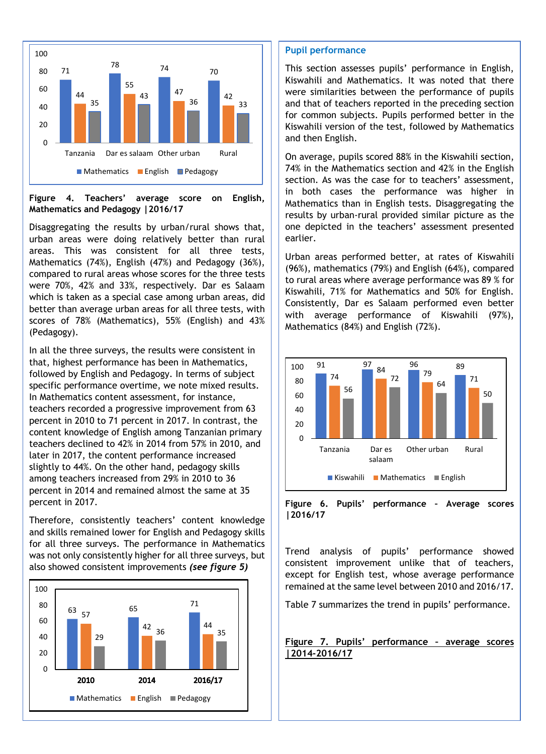

**Figure 4. Teachers' average score on English, Mathematics and Pedagogy |2016/17**

Disaggregating the results by urban/rural shows that, urban areas were doing relatively better than rural areas. This was consistent for all three tests, Mathematics (74%), English (47%) and Pedagogy (36%), compared to rural areas whose scores for the three tests were 70%, 42% and 33%, respectively. Dar es Salaam which is taken as a special case among urban areas, did better than average urban areas for all three tests, with scores of 78% (Mathematics), 55% (English) and 43% (Pedagogy).

In all the three surveys, the results were consistent in that, highest performance has been in Mathematics, followed by English and Pedagogy. In terms of subject specific performance overtime, we note mixed results. In Mathematics content assessment, for instance, teachers recorded a progressive improvement from 63 percent in 2010 to 71 percent in 2017. In contrast, the content knowledge of English among Tanzanian primary teachers declined to 42% in 2014 from 57% in 2010, and later in 2017, the content performance increased slightly to 44%. On the other hand, pedagogy skills among teachers increased from 29% in 2010 to 36 percent in 2014 and remained almost the same at 35 percent in 2017.

Therefore, consistently teachers' content knowledge and skills remained lower for English and Pedagogy skills for all three surveys. The performance in Mathematics was not only consistently higher for all three surveys, but also showed consistent improvements *(see figure 5)*



### **Pupil performance**

This section assesses pupils' performance in English, Kiswahili and Mathematics. It was noted that there were similarities between the performance of pupils and that of teachers reported in the preceding section for common subjects. Pupils performed better in the Kiswahili version of the test, followed by Mathematics and then English.

On average, pupils scored 88% in the Kiswahili section, 74% in the Mathematics section and 42% in the English section. As was the case for to teachers' assessment, in both cases the performance was higher in Mathematics than in English tests. Disaggregating the results by urban-rural provided similar picture as the one depicted in the teachers' assessment presented earlier.

Urban areas performed better, at rates of Kiswahili (96%), mathematics (79%) and English (64%), compared to rural areas where average performance was 89 % for Kiswahili, 71% for Mathematics and 50% for English. Consistently, Dar es Salaam performed even better with average performance of Kiswahili (97%), Mathematics (84%) and English (72%).



**Figure 6. Pupils' performance – Average scores |2016/17**

Trend analysis of pupils' performance showed consistent improvement unlike that of teachers, except for English test, whose average performance remained at the same level between 2010 and 2016/17.

Table 7 summarizes the trend in pupils' performance.

**Figure 7. Pupils' performance – average scores |2014-2016/17**